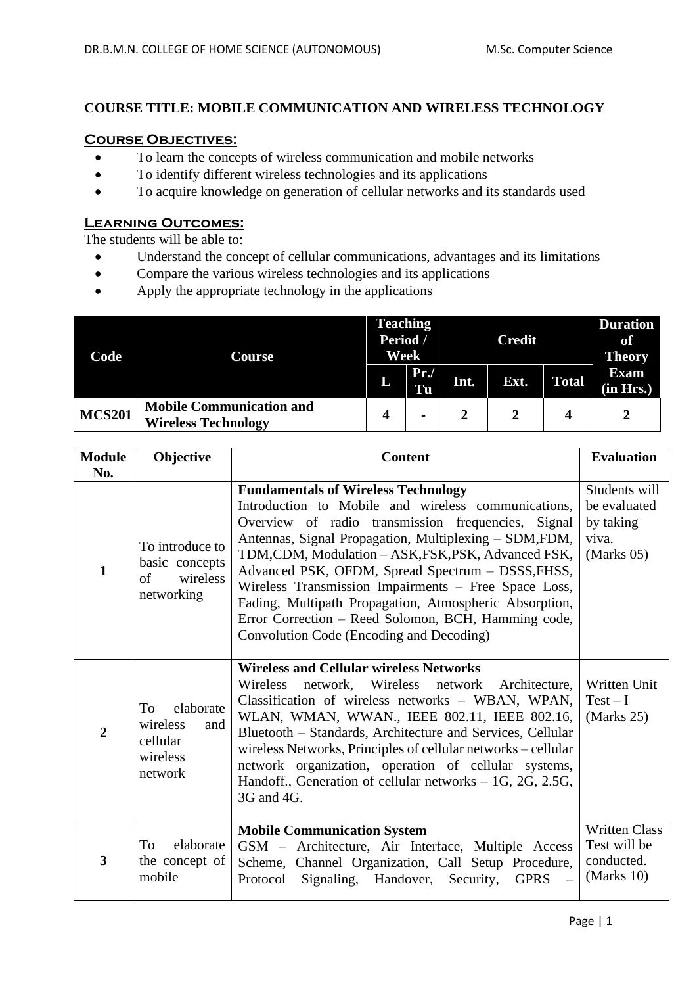## **COURSE TITLE: MOBILE COMMUNICATION AND WIRELESS TECHNOLOGY**

## **Course Objectives:**

- To learn the concepts of wireless communication and mobile networks
- To identify different wireless technologies and its applications
- To acquire knowledge on generation of cellular networks and its standards used

#### **Learning Outcomes:**

The students will be able to:

- Understand the concept of cellular communications, advantages and its limitations
- Compare the various wireless technologies and its applications
- Apply the appropriate technology in the applications

| Code          | Course                                                        | <b>Teaching</b><br>Period /<br>Week |                                  | <b>Credit</b> |      |              | <b>Duration</b><br>of<br><b>Theory</b> |
|---------------|---------------------------------------------------------------|-------------------------------------|----------------------------------|---------------|------|--------------|----------------------------------------|
|               |                                                               | L                                   | Pr.<br>$\overline{\mathbf{T}}$ u | Int.          | Ext. | <b>Total</b> | <b>Exam</b><br>(in Hrs.)               |
| <b>MCS201</b> | <b>Mobile Communication and</b><br><b>Wireless Technology</b> |                                     | $\blacksquare$                   |               |      |              |                                        |

| <b>Module</b>  | Objective                                                             | <b>Content</b>                                                                                                                                                                                                                                                                                                                                                                                                                                                                                                                                     | <b>Evaluation</b>                                                   |
|----------------|-----------------------------------------------------------------------|----------------------------------------------------------------------------------------------------------------------------------------------------------------------------------------------------------------------------------------------------------------------------------------------------------------------------------------------------------------------------------------------------------------------------------------------------------------------------------------------------------------------------------------------------|---------------------------------------------------------------------|
| No.            |                                                                       |                                                                                                                                                                                                                                                                                                                                                                                                                                                                                                                                                    |                                                                     |
| $\mathbf{1}$   | To introduce to<br>basic concepts<br>wireless<br>of<br>networking     | <b>Fundamentals of Wireless Technology</b><br>Introduction to Mobile and wireless communications,<br>Overview of radio transmission frequencies, Signal<br>Antennas, Signal Propagation, Multiplexing – SDM, FDM,<br>TDM, CDM, Modulation - ASK, FSK, PSK, Advanced FSK,<br>Advanced PSK, OFDM, Spread Spectrum - DSSS, FHSS,<br>Wireless Transmission Impairments - Free Space Loss,<br>Fading, Multipath Propagation, Atmospheric Absorption,<br>Error Correction - Reed Solomon, BCH, Hamming code,<br>Convolution Code (Encoding and Decoding) | Students will<br>be evaluated<br>by taking<br>viva.<br>$Marks$ 05)  |
| $\overline{2}$ | To<br>elaborate<br>wireless<br>and<br>cellular<br>wireless<br>network | <b>Wireless and Cellular wireless Networks</b><br>Wireless<br>network, Wireless network<br>Architecture,<br>Classification of wireless networks - WBAN, WPAN,<br>WLAN, WMAN, WWAN., IEEE 802.11, IEEE 802.16,<br>Bluetooth – Standards, Architecture and Services, Cellular<br>wireless Networks, Principles of cellular networks – cellular<br>network organization, operation of cellular systems,<br>Handoff., Generation of cellular networks $-1G$ , 2G, 2.5G,<br>3G and 4G.                                                                  | Written Unit<br>$Test - I$<br>(Marks 25)                            |
| 3              | elaborate<br>To<br>the concept of<br>mobile                           | <b>Mobile Communication System</b><br>GSM - Architecture, Air Interface, Multiple Access<br>Scheme, Channel Organization, Call Setup Procedure,<br>Signaling, Handover, Security,<br>Protocol<br><b>GPRS</b>                                                                                                                                                                                                                                                                                                                                       | <b>Written Class</b><br>Test will be<br>conducted.<br>(Marks $10$ ) |